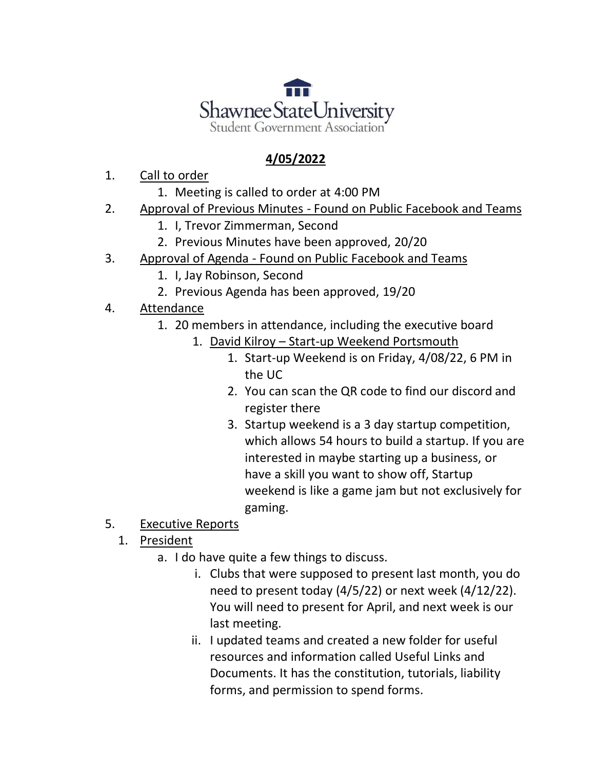

## **4/05/2022**

- 1. Call to order
	- 1. Meeting is called to order at 4:00 PM
- 2. Approval of Previous Minutes Found on Public Facebook and Teams
	- 1. I, Trevor Zimmerman, Second
	- 2. Previous Minutes have been approved, 20/20
- 3. Approval of Agenda Found on Public Facebook and Teams
	- 1. I, Jay Robinson, Second
	- 2. Previous Agenda has been approved, 19/20
- 4. Attendance
	- 1. 20 members in attendance, including the executive board
		- 1. David Kilroy Start-up Weekend Portsmouth
			- 1. Start-up Weekend is on Friday, 4/08/22, 6 PM in the UC
			- 2. You can scan the QR code to find our discord and register there
			- 3. Startup weekend is a 3 day startup competition, which allows 54 hours to build a startup. If you are interested in maybe starting up a business, or have a skill you want to show off, Startup weekend is like a game jam but not exclusively for gaming.
- 5. Executive Reports
	- 1. President
		- a. I do have quite a few things to discuss.
			- i. Clubs that were supposed to present last month, you do need to present today (4/5/22) or next week (4/12/22). You will need to present for April, and next week is our last meeting.
			- ii. I updated teams and created a new folder for useful resources and information called Useful Links and Documents. It has the constitution, tutorials, liability forms, and permission to spend forms.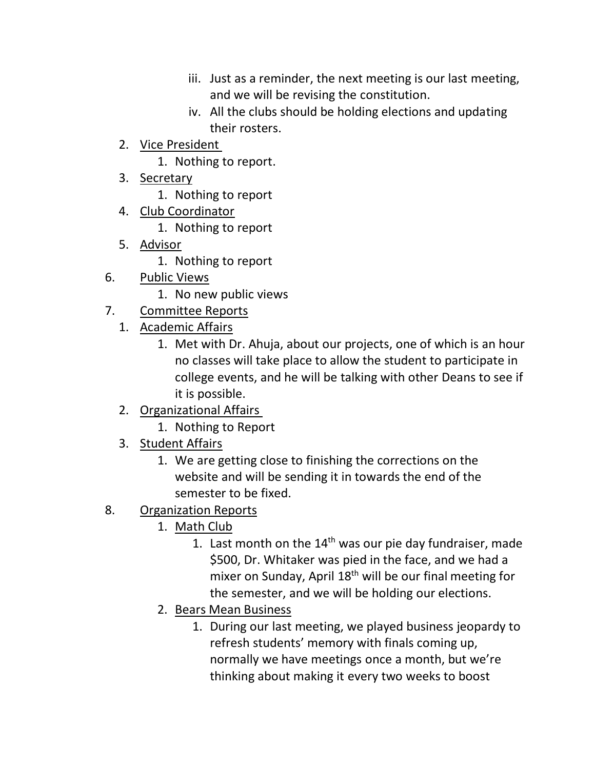- iii. Just as a reminder, the next meeting is our last meeting, and we will be revising the constitution.
- iv. All the clubs should be holding elections and updating their rosters.
- 2. Vice President
	- 1. Nothing to report.
- 3. Secretary
	- 1. Nothing to report
- 4. Club Coordinator
	- 1. Nothing to report
- 5. Advisor
	- 1. Nothing to report
- 6. Public Views
	- 1. No new public views
- 7. Committee Reports
	- 1. Academic Affairs
		- 1. Met with Dr. Ahuja, about our projects, one of which is an hour no classes will take place to allow the student to participate in college events, and he will be talking with other Deans to see if it is possible.
	- 2. Organizational Affairs
		- 1. Nothing to Report
	- 3. Student Affairs
		- 1. We are getting close to finishing the corrections on the website and will be sending it in towards the end of the semester to be fixed.
- 8. Organization Reports
	- 1. Math Club
		- 1. Last month on the  $14<sup>th</sup>$  was our pie day fundraiser, made \$500, Dr. Whitaker was pied in the face, and we had a mixer on Sunday, April 18<sup>th</sup> will be our final meeting for the semester, and we will be holding our elections.
	- 2. Bears Mean Business
		- 1. During our last meeting, we played business jeopardy to refresh students' memory with finals coming up, normally we have meetings once a month, but we're thinking about making it every two weeks to boost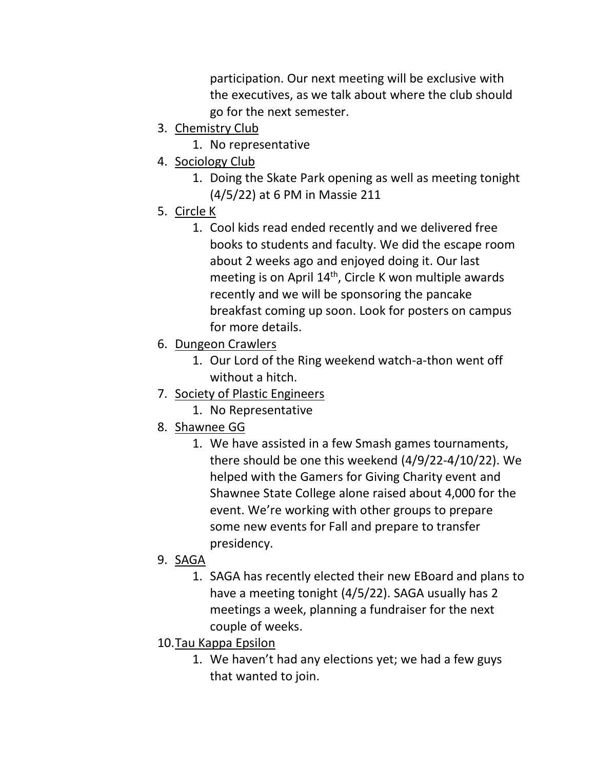participation. Our next meeting will be exclusive with the executives, as we talk about where the club should go for the next semester.

- 3. Chemistry Club
	- 1. No representative
- 4. Sociology Club
	- 1. Doing the Skate Park opening as well as meeting tonight (4/5/22) at 6 PM in Massie 211
- 5. Circle K
	- 1. Cool kids read ended recently and we delivered free books to students and faculty. We did the escape room about 2 weeks ago and enjoyed doing it. Our last meeting is on April  $14<sup>th</sup>$ , Circle K won multiple awards recently and we will be sponsoring the pancake breakfast coming up soon. Look for posters on campus for more details.
- 6. Dungeon Crawlers
	- 1. Our Lord of the Ring weekend watch-a-thon went off without a hitch.
- 7. Society of Plastic Engineers
	- 1. No Representative
- 8. Shawnee GG
	- 1. We have assisted in a few Smash games tournaments, there should be one this weekend (4/9/22-4/10/22). We helped with the Gamers for Giving Charity event and Shawnee State College alone raised about 4,000 for the event. We're working with other groups to prepare some new events for Fall and prepare to transfer presidency.
- 9. SAGA
	- 1. SAGA has recently elected their new EBoard and plans to have a meeting tonight (4/5/22). SAGA usually has 2 meetings a week, planning a fundraiser for the next couple of weeks.
- 10.Tau Kappa Epsilon
	- 1. We haven't had any elections yet; we had a few guys that wanted to join.